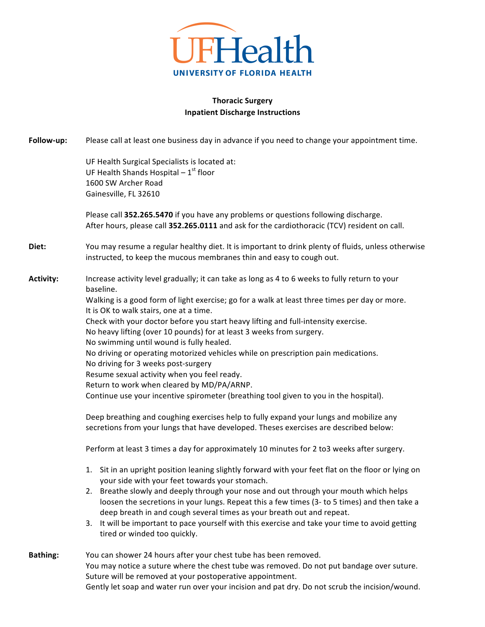

# **Thoracic Surgery Inpatient Discharge Instructions**

| Follow-up:       | Please call at least one business day in advance if you need to change your appointment time.                                                                                                                                                               |
|------------------|-------------------------------------------------------------------------------------------------------------------------------------------------------------------------------------------------------------------------------------------------------------|
|                  | UF Health Surgical Specialists is located at:                                                                                                                                                                                                               |
|                  | UF Health Shands Hospital $-1^{st}$ floor                                                                                                                                                                                                                   |
|                  | 1600 SW Archer Road                                                                                                                                                                                                                                         |
|                  | Gainesville, FL 32610                                                                                                                                                                                                                                       |
|                  | Please call 352.265.5470 if you have any problems or questions following discharge.<br>After hours, please call 352.265.0111 and ask for the cardiothoracic (TCV) resident on call.                                                                         |
| Diet:            | You may resume a regular healthy diet. It is important to drink plenty of fluids, unless otherwise                                                                                                                                                          |
|                  | instructed, to keep the mucous membranes thin and easy to cough out.                                                                                                                                                                                        |
| <b>Activity:</b> | Increase activity level gradually; it can take as long as 4 to 6 weeks to fully return to your<br>baseline.                                                                                                                                                 |
|                  | Walking is a good form of light exercise; go for a walk at least three times per day or more.<br>It is OK to walk stairs, one at a time.                                                                                                                    |
|                  | Check with your doctor before you start heavy lifting and full-intensity exercise.                                                                                                                                                                          |
|                  | No heavy lifting (over 10 pounds) for at least 3 weeks from surgery.                                                                                                                                                                                        |
|                  | No swimming until wound is fully healed.                                                                                                                                                                                                                    |
|                  | No driving or operating motorized vehicles while on prescription pain medications.                                                                                                                                                                          |
|                  | No driving for 3 weeks post-surgery                                                                                                                                                                                                                         |
|                  | Resume sexual activity when you feel ready.                                                                                                                                                                                                                 |
|                  | Return to work when cleared by MD/PA/ARNP.                                                                                                                                                                                                                  |
|                  | Continue use your incentive spirometer (breathing tool given to you in the hospital).                                                                                                                                                                       |
|                  | Deep breathing and coughing exercises help to fully expand your lungs and mobilize any<br>secretions from your lungs that have developed. Theses exercises are described below:                                                                             |
|                  | Perform at least 3 times a day for approximately 10 minutes for 2 to3 weeks after surgery.                                                                                                                                                                  |
|                  | 1. Sit in an upright position leaning slightly forward with your feet flat on the floor or lying on<br>your side with your feet towards your stomach.                                                                                                       |
|                  | Breathe slowly and deeply through your nose and out through your mouth which helps<br>loosen the secretions in your lungs. Repeat this a few times (3- to 5 times) and then take a<br>deep breath in and cough several times as your breath out and repeat. |
|                  | 3. It will be important to pace yourself with this exercise and take your time to avoid getting<br>tired or winded too quickly.                                                                                                                             |
| <b>Bathing:</b>  | You can shower 24 hours after your chest tube has been removed.                                                                                                                                                                                             |
|                  | You may notice a suture where the chest tube was removed. Do not put bandage over suture.<br>Suture will be removed at your postoperative appointment.                                                                                                      |
|                  | Gently let soap and water run over your incision and pat dry. Do not scrub the incision/wound.                                                                                                                                                              |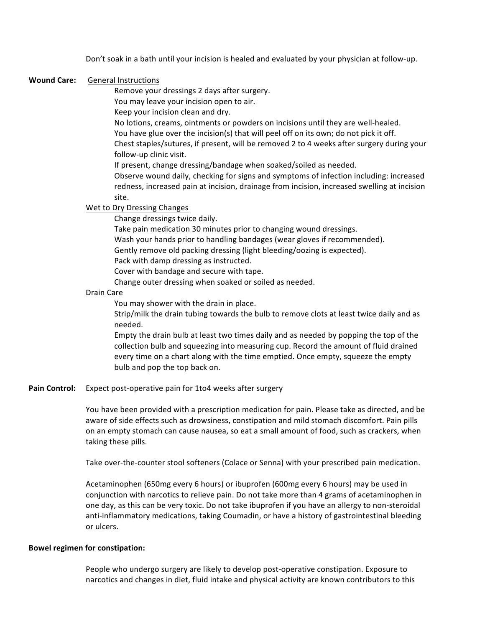Don't soak in a bath until your incision is healed and evaluated by your physician at follow-up.

## **Wound Care:** General Instructions

Remove your dressings 2 days after surgery.

You may leave your incision open to air.

Keep your incision clean and dry.

No lotions, creams, ointments or powders on incisions until they are well-healed.

You have glue over the incision(s) that will peel off on its own; do not pick it off.

Chest staples/sutures, if present, will be removed 2 to 4 weeks after surgery during your follow-up clinic visit.

If present, change dressing/bandage when soaked/soiled as needed.

Observe wound daily, checking for signs and symptoms of infection including: increased redness, increased pain at incision, drainage from incision, increased swelling at incision site.

## Wet to Dry Dressing Changes

Change dressings twice daily.

Take pain medication 30 minutes prior to changing wound dressings.

Wash your hands prior to handling bandages (wear gloves if recommended).

Gently remove old packing dressing (light bleeding/oozing is expected).

Pack with damp dressing as instructed.

Cover with bandage and secure with tape.

Change outer dressing when soaked or soiled as needed.

## Drain Care

You may shower with the drain in place.

Strip/milk the drain tubing towards the bulb to remove clots at least twice daily and as needed.

Empty the drain bulb at least two times daily and as needed by popping the top of the collection bulb and squeezing into measuring cup. Record the amount of fluid drained every time on a chart along with the time emptied. Once empty, squeeze the empty bulb and pop the top back on.

#### **Pain Control:** Expect post-operative pain for 1to4 weeks after surgery

You have been provided with a prescription medication for pain. Please take as directed, and be aware of side effects such as drowsiness, constipation and mild stomach discomfort. Pain pills on an empty stomach can cause nausea, so eat a small amount of food, such as crackers, when taking these pills.

Take over-the-counter stool softeners (Colace or Senna) with your prescribed pain medication.

Acetaminophen (650mg every 6 hours) or ibuprofen (600mg every 6 hours) may be used in conjunction with narcotics to relieve pain. Do not take more than 4 grams of acetaminophen in one day, as this can be very toxic. Do not take ibuprofen if you have an allergy to non-steroidal anti-inflammatory medications, taking Coumadin, or have a history of gastrointestinal bleeding or ulcers.

#### **Bowel regimen for constipation:**

People who undergo surgery are likely to develop post-operative constipation. Exposure to narcotics and changes in diet, fluid intake and physical activity are known contributors to this